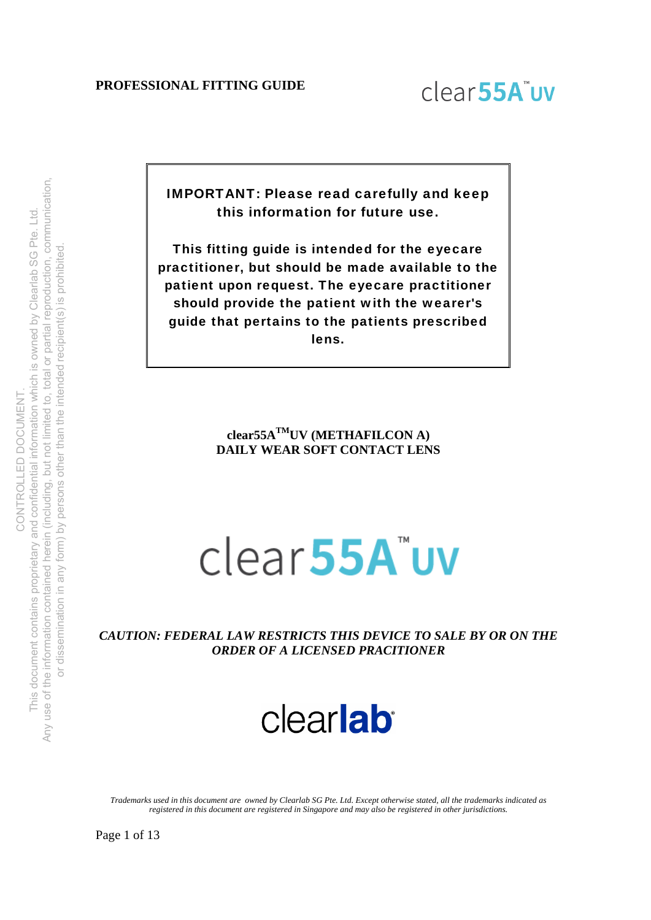

IMPORTANT: Please read carefully and keep this information for future use.

This fitting guide is intended for the eyecare practitioner, but should be made available to the patient upon request. The eyecare practitioner should provide the patient with the wearer's guide that pertains to the patients prescribed lens.

> **clear55ATMUV (METHAFILCON A) DAILY WEAR SOFT CONTACT LENS**

# clear55A"uv

*CAUTION: FEDERAL LAW RESTRICTS THIS DEVICE TO SALE BY OR ON THE ORDER OF A LICENSED PRACITIONER*



*Trademarks used in this document are owned by Clearlab SG Pte. Ltd. Except otherwise stated, all the trademarks indicated as registered in this document are registered in Singapore and may also be registered in other jurisdictions.* 

Page 1 of 13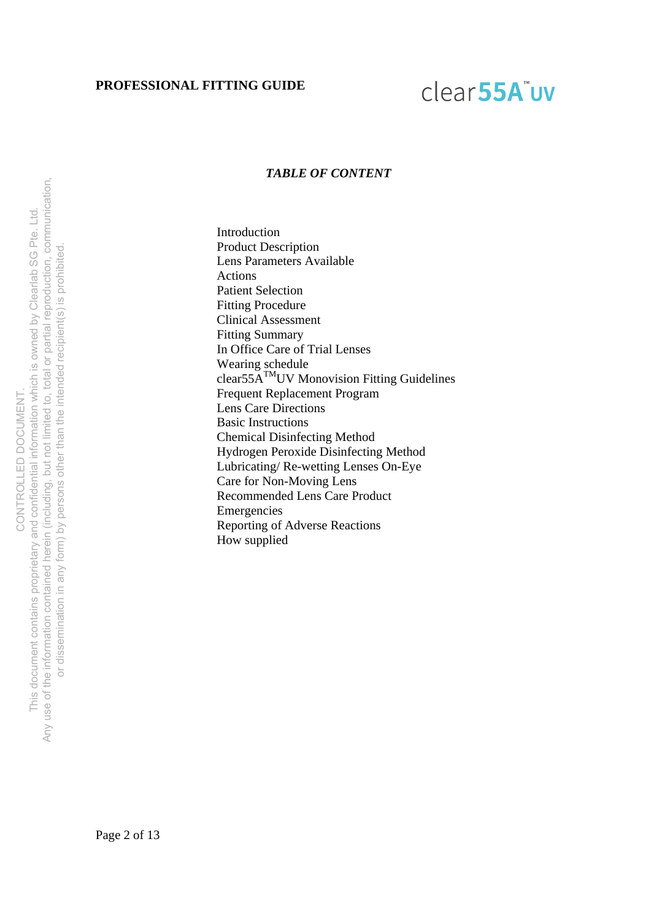### clear<sub>55A</sub>"uv

#### *TABLE OF CONTENT*

Introduction Product Description Lens Parameters Available Actions Patient Selection Fitting Procedure Clinical Assessment Fitting Summary In Office Care of Trial Lenses Wearing schedule clear $55\text{A}^{\text{TM}}$ UV Monovision Fitting Guidelines Frequent Replacement Program Lens Care Directions Basic Instructions Chemical Disinfecting Method Hydrogen Peroxide Disinfecting Method Lubricating/ Re-wetting Lenses On-Eye Care for Non-Moving Lens Recommended Lens Care Product Emergencies Reporting of Adverse Reactions How supplied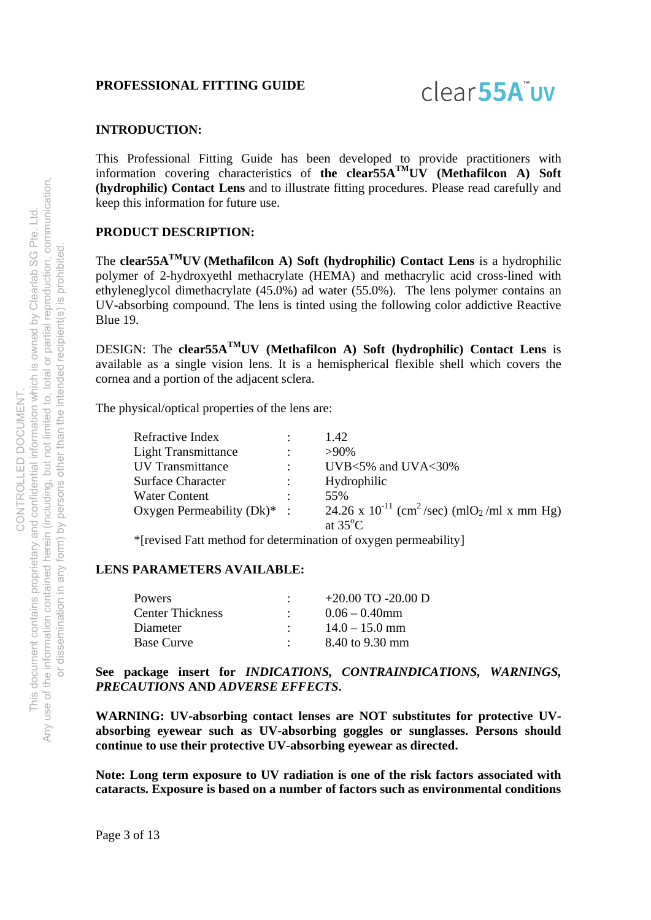### clear<sub>55A</sub>"uv

#### **INTRODUCTION:**

This Professional Fitting Guide has been developed to provide practitioners with information covering characteristics of **the clear55ATMUV (Methafilcon A) Soft (hydrophilic) Contact Lens** and to illustrate fitting procedures. Please read carefully and keep this information for future use.

#### **PRODUCT DESCRIPTION:**

The **clear55ATMUV (Methafilcon A) Soft (hydrophilic) Contact Lens** is a hydrophilic polymer of 2-hydroxyethl methacrylate (HEMA) and methacrylic acid cross-lined with ethyleneglycol dimethacrylate (45.0%) ad water (55.0%). The lens polymer contains an UV-absorbing compound. The lens is tinted using the following color addictive Reactive Blue 19.

DESIGN: The **clear55ATMUV (Methafilcon A) Soft (hydrophilic) Contact Lens** is available as a single vision lens. It is a hemispherical flexible shell which covers the cornea and a portion of the adjacent sclera.

The physical/optical properties of the lens are:

|                                | 1.42                                                                            |
|--------------------------------|---------------------------------------------------------------------------------|
|                                | $>90\%$                                                                         |
|                                | UVB $<5\%$ and UVA $<30\%$                                                      |
|                                | Hydrophilic                                                                     |
| ٠                              | .55%                                                                            |
| Oxygen Permeability $(Dk)^*$ : | 24.26 x 10 <sup>-11</sup> (cm <sup>2</sup> /sec) (mlO <sub>2</sub> /ml x mm Hg) |
|                                | at $35^{\circ}$ C                                                               |
|                                |                                                                                 |

\*[revised Fatt method for determination of oxygen permeability]

#### **LENS PARAMETERS AVAILABLE:**

| <b>Powers</b>           | $+20.00$ TO -20.00 D |
|-------------------------|----------------------|
| <b>Center Thickness</b> | $0.06 - 0.40$ mm     |
| Diameter                | $14.0 - 15.0$ mm     |
| <b>Base Curve</b>       | 8.40 to 9.30 mm      |

**See package insert for** *INDICATIONS, CONTRAINDICATIONS, WARNINGS, PRECAUTIONS* **AND** *ADVERSE EFFECTS***.** 

**WARNING: UV-absorbing contact lenses are NOT substitutes for protective UVabsorbing eyewear such as UV-absorbing goggles or sunglasses. Persons should continue to use their protective UV-absorbing eyewear as directed.** 

**Note: Long term exposure to UV radiation is one of the risk factors associated with cataracts. Exposure is based on a number of factors such as environmental conditions**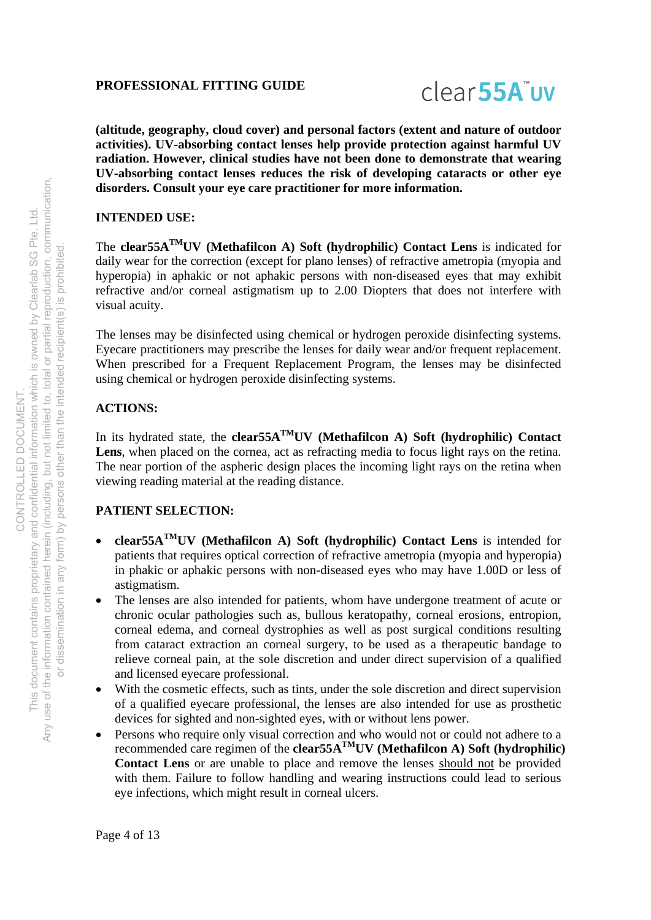

**(altitude, geography, cloud cover) and personal factors (extent and nature of outdoor activities). UV-absorbing contact lenses help provide protection against harmful UV radiation. However, clinical studies have not been done to demonstrate that wearing UV-absorbing contact lenses reduces the risk of developing cataracts or other eye disorders. Consult your eye care practitioner for more information.** 

#### **INTENDED USE:**

The **clear55ATMUV (Methafilcon A) Soft (hydrophilic) Contact Lens** is indicated for daily wear for the correction (except for plano lenses) of refractive ametropia (myopia and hyperopia) in aphakic or not aphakic persons with non-diseased eyes that may exhibit refractive and/or corneal astigmatism up to 2.00 Diopters that does not interfere with visual acuity.

The lenses may be disinfected using chemical or hydrogen peroxide disinfecting systems. Eyecare practitioners may prescribe the lenses for daily wear and/or frequent replacement. When prescribed for a Frequent Replacement Program, the lenses may be disinfected using chemical or hydrogen peroxide disinfecting systems.

#### **ACTIONS:**

In its hydrated state, the **clear55A<sup>TM</sup>UV** (Methafilcon A) Soft (hydrophilic) Contact Lens, when placed on the cornea, act as refracting media to focus light rays on the retina. The near portion of the aspheric design places the incoming light rays on the retina when viewing reading material at the reading distance.

#### **PATIENT SELECTION:**

- **clear55ATMUV (Methafilcon A) Soft (hydrophilic) Contact Lens** is intended for patients that requires optical correction of refractive ametropia (myopia and hyperopia) in phakic or aphakic persons with non-diseased eyes who may have 1.00D or less of astigmatism.
- The lenses are also intended for patients, whom have undergone treatment of acute or chronic ocular pathologies such as, bullous keratopathy, corneal erosions, entropion, corneal edema, and corneal dystrophies as well as post surgical conditions resulting from cataract extraction an corneal surgery, to be used as a therapeutic bandage to relieve corneal pain, at the sole discretion and under direct supervision of a qualified and licensed eyecare professional.
- With the cosmetic effects, such as tints, under the sole discretion and direct supervision of a qualified eyecare professional, the lenses are also intended for use as prosthetic devices for sighted and non-sighted eyes, with or without lens power.
- Persons who require only visual correction and who would not or could not adhere to a recommended care regimen of the **clear55ATMUV (Methafilcon A) Soft (hydrophilic) Contact Lens** or are unable to place and remove the lenses should not be provided with them. Failure to follow handling and wearing instructions could lead to serious eye infections, which might result in corneal ulcers.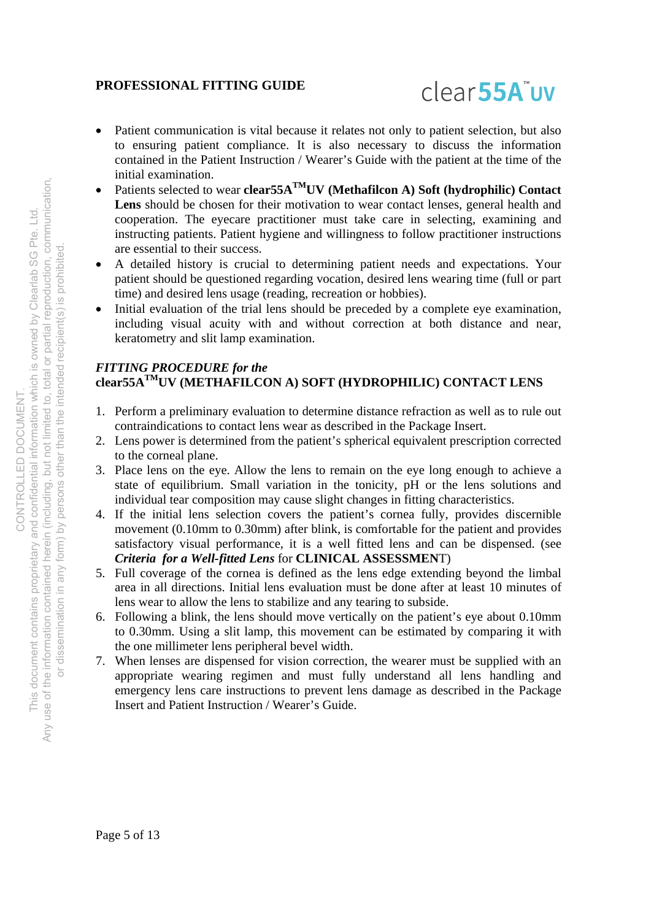

- Patient communication is vital because it relates not only to patient selection, but also to ensuring patient compliance. It is also necessary to discuss the information contained in the Patient Instruction / Wearer's Guide with the patient at the time of the initial examination.
- Patients selected to wear **clear55A<sup>TM</sup>UV** (Methafilcon A) Soft (hydrophilic) Contact Lens should be chosen for their motivation to wear contact lenses, general health and cooperation. The eyecare practitioner must take care in selecting, examining and instructing patients. Patient hygiene and willingness to follow practitioner instructions are essential to their success.
- A detailed history is crucial to determining patient needs and expectations. Your patient should be questioned regarding vocation, desired lens wearing time (full or part time) and desired lens usage (reading, recreation or hobbies).
- Initial evaluation of the trial lens should be preceded by a complete eye examination, including visual acuity with and without correction at both distance and near, keratometry and slit lamp examination.

#### *FITTING PROCEDURE for the*  **clear55ATMUV (METHAFILCON A) SOFT (HYDROPHILIC) CONTACT LENS**

- 1. Perform a preliminary evaluation to determine distance refraction as well as to rule out contraindications to contact lens wear as described in the Package Insert.
- 2. Lens power is determined from the patient's spherical equivalent prescription corrected to the corneal plane.
- 3. Place lens on the eye. Allow the lens to remain on the eye long enough to achieve a state of equilibrium. Small variation in the tonicity, pH or the lens solutions and individual tear composition may cause slight changes in fitting characteristics.
- 4. If the initial lens selection covers the patient's cornea fully, provides discernible movement (0.10mm to 0.30mm) after blink, is comfortable for the patient and provides satisfactory visual performance, it is a well fitted lens and can be dispensed. (see *Criteria for a Well-fitted Lens* for **CLINICAL ASSESSMEN**T)
- 5. Full coverage of the cornea is defined as the lens edge extending beyond the limbal area in all directions. Initial lens evaluation must be done after at least 10 minutes of lens wear to allow the lens to stabilize and any tearing to subside.
- 6. Following a blink, the lens should move vertically on the patient's eye about 0.10mm to 0.30mm. Using a slit lamp, this movement can be estimated by comparing it with the one millimeter lens peripheral bevel width.
- 7. When lenses are dispensed for vision correction, the wearer must be supplied with an appropriate wearing regimen and must fully understand all lens handling and emergency lens care instructions to prevent lens damage as described in the Package Insert and Patient Instruction / Wearer's Guide.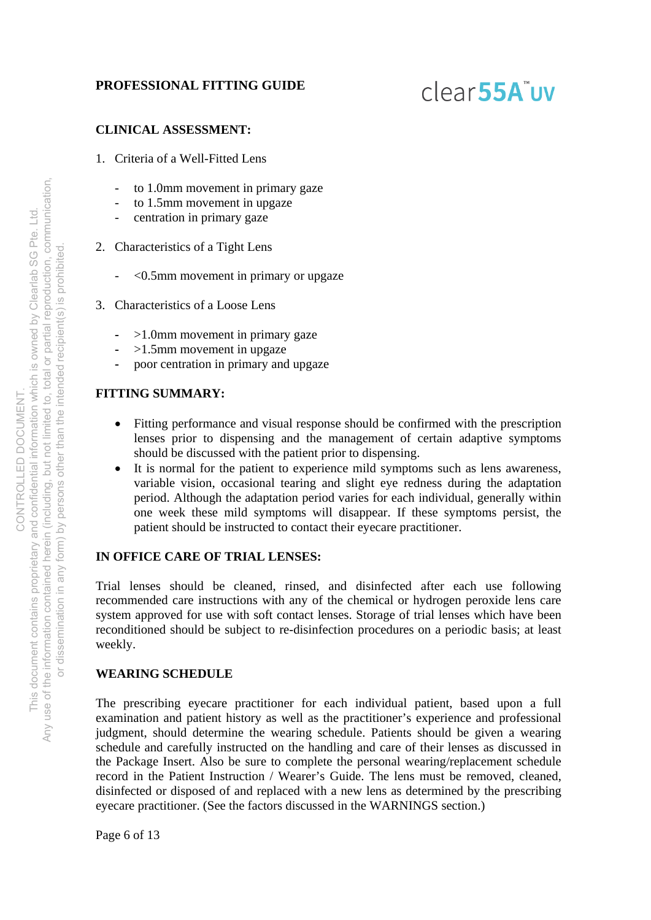### clear<sub>55A</sub>"uv

#### **CLINICAL ASSESSMENT:**

- 1. Criteria of a Well-Fitted Lens
	- to 1.0mm movement in primary gaze
	- to 1.5mm movement in upgaze
	- centration in primary gaze
- 2. Characteristics of a Tight Lens
	- <0.5mm movement in primary or upgaze
- 3. Characteristics of a Loose Lens
	- >1.0mm movement in primary gaze
	- **-** >1.5mm movement in upgaze
	- **-** poor centration in primary and upgaze

#### **FITTING SUMMARY:**

- Fitting performance and visual response should be confirmed with the prescription lenses prior to dispensing and the management of certain adaptive symptoms should be discussed with the patient prior to dispensing.
- It is normal for the patient to experience mild symptoms such as lens awareness, variable vision, occasional tearing and slight eye redness during the adaptation period. Although the adaptation period varies for each individual, generally within one week these mild symptoms will disappear. If these symptoms persist, the patient should be instructed to contact their eyecare practitioner.

#### **IN OFFICE CARE OF TRIAL LENSES:**

Trial lenses should be cleaned, rinsed, and disinfected after each use following recommended care instructions with any of the chemical or hydrogen peroxide lens care system approved for use with soft contact lenses. Storage of trial lenses which have been reconditioned should be subject to re-disinfection procedures on a periodic basis; at least weekly.

#### **WEARING SCHEDULE**

The prescribing eyecare practitioner for each individual patient, based upon a full examination and patient history as well as the practitioner's experience and professional judgment, should determine the wearing schedule. Patients should be given a wearing schedule and carefully instructed on the handling and care of their lenses as discussed in the Package Insert. Also be sure to complete the personal wearing/replacement schedule record in the Patient Instruction / Wearer's Guide. The lens must be removed, cleaned, disinfected or disposed of and replaced with a new lens as determined by the prescribing eyecare practitioner. (See the factors discussed in the WARNINGS section.)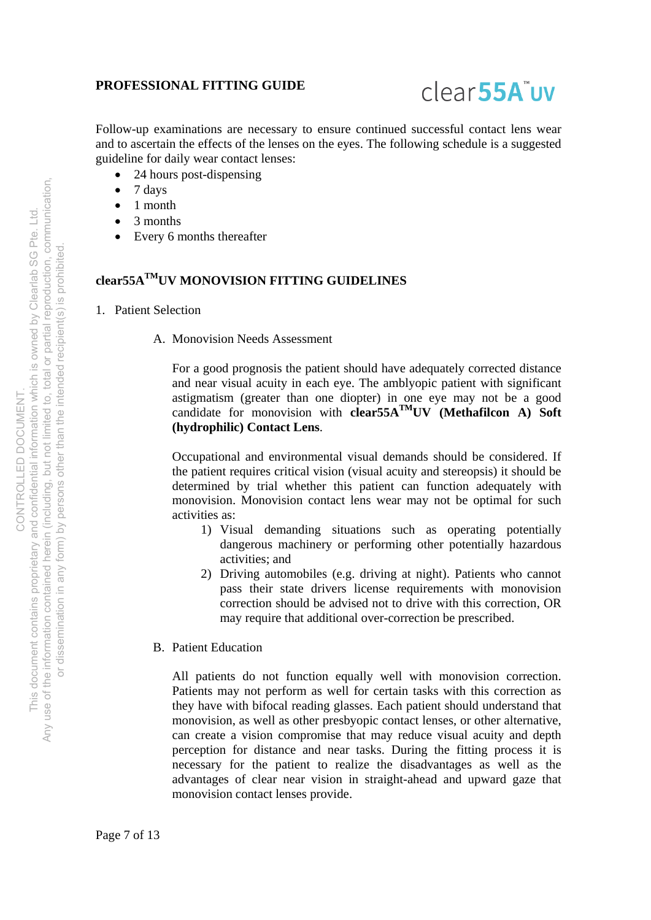

Follow-up examinations are necessary to ensure continued successful contact lens wear and to ascertain the effects of the lenses on the eyes. The following schedule is a suggested guideline for daily wear contact lenses:

- 24 hours post-dispensing
- $\bullet$  7 days
- 1 month
- 3 months
- Every 6 months thereafter

#### **clear55ATMUV MONOVISION FITTING GUIDELINES**

- 1. Patient Selection
	- A. Monovision Needs Assessment

For a good prognosis the patient should have adequately corrected distance and near visual acuity in each eye. The amblyopic patient with significant astigmatism (greater than one diopter) in one eye may not be a good candidate for monovision with **clear55ATMUV (Methafilcon A) Soft (hydrophilic) Contact Lens**.

Occupational and environmental visual demands should be considered. If the patient requires critical vision (visual acuity and stereopsis) it should be determined by trial whether this patient can function adequately with monovision. Monovision contact lens wear may not be optimal for such activities as:

- 1) Visual demanding situations such as operating potentially dangerous machinery or performing other potentially hazardous activities; and
- 2) Driving automobiles (e.g. driving at night). Patients who cannot pass their state drivers license requirements with monovision correction should be advised not to drive with this correction, OR may require that additional over-correction be prescribed.
- B. Patient Education

All patients do not function equally well with monovision correction. Patients may not perform as well for certain tasks with this correction as they have with bifocal reading glasses. Each patient should understand that monovision, as well as other presbyopic contact lenses, or other alternative, can create a vision compromise that may reduce visual acuity and depth perception for distance and near tasks. During the fitting process it is necessary for the patient to realize the disadvantages as well as the advantages of clear near vision in straight-ahead and upward gaze that monovision contact lenses provide.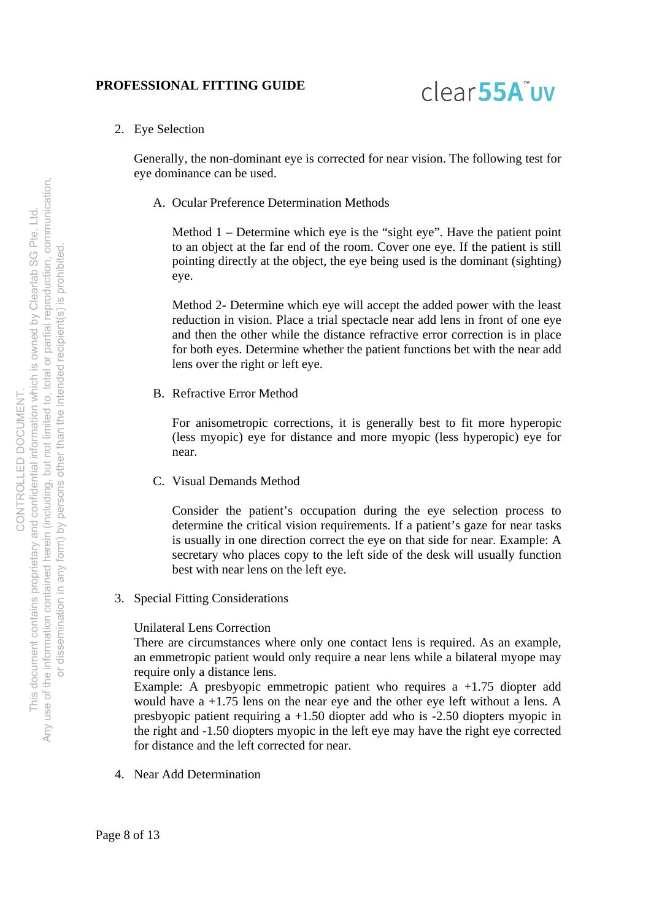

2. Eye Selection

Generally, the non-dominant eye is corrected for near vision. The following test for eye dominance can be used.

A. Ocular Preference Determination Methods

Method 1 – Determine which eye is the "sight eye". Have the patient point to an object at the far end of the room. Cover one eye. If the patient is still pointing directly at the object, the eye being used is the dominant (sighting) eye.

Method 2- Determine which eye will accept the added power with the least reduction in vision. Place a trial spectacle near add lens in front of one eye and then the other while the distance refractive error correction is in place for both eyes. Determine whether the patient functions bet with the near add lens over the right or left eye.

B. Refractive Error Method

For anisometropic corrections, it is generally best to fit more hyperopic (less myopic) eye for distance and more myopic (less hyperopic) eye for near.

C. Visual Demands Method

Consider the patient's occupation during the eye selection process to determine the critical vision requirements. If a patient's gaze for near tasks is usually in one direction correct the eye on that side for near. Example: A secretary who places copy to the left side of the desk will usually function best with near lens on the left eye.

3. Special Fitting Considerations

#### Unilateral Lens Correction

There are circumstances where only one contact lens is required. As an example, an emmetropic patient would only require a near lens while a bilateral myope may require only a distance lens.

Example: A presbyopic emmetropic patient who requires a +1.75 diopter add would have  $a +1.75$  lens on the near eve and the other eve left without a lens. A presbyopic patient requiring a +1.50 diopter add who is -2.50 diopters myopic in the right and -1.50 diopters myopic in the left eye may have the right eye corrected for distance and the left corrected for near.

4. Near Add Determination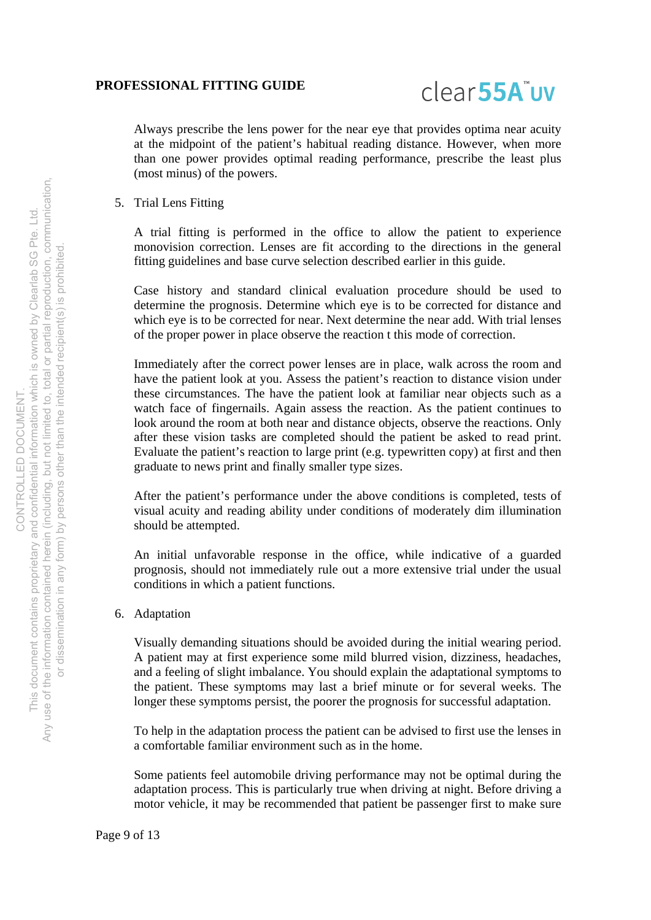

Always prescribe the lens power for the near eye that provides optima near acuity at the midpoint of the patient's habitual reading distance. However, when more than one power provides optimal reading performance, prescribe the least plus (most minus) of the powers.

5. Trial Lens Fitting

A trial fitting is performed in the office to allow the patient to experience monovision correction. Lenses are fit according to the directions in the general fitting guidelines and base curve selection described earlier in this guide.

Case history and standard clinical evaluation procedure should be used to determine the prognosis. Determine which eye is to be corrected for distance and which eye is to be corrected for near. Next determine the near add. With trial lenses of the proper power in place observe the reaction t this mode of correction.

Immediately after the correct power lenses are in place, walk across the room and have the patient look at you. Assess the patient's reaction to distance vision under these circumstances. The have the patient look at familiar near objects such as a watch face of fingernails. Again assess the reaction. As the patient continues to look around the room at both near and distance objects, observe the reactions. Only after these vision tasks are completed should the patient be asked to read print. Evaluate the patient's reaction to large print (e.g. typewritten copy) at first and then graduate to news print and finally smaller type sizes.

After the patient's performance under the above conditions is completed, tests of visual acuity and reading ability under conditions of moderately dim illumination should be attempted.

An initial unfavorable response in the office, while indicative of a guarded prognosis, should not immediately rule out a more extensive trial under the usual conditions in which a patient functions.

6. Adaptation

Visually demanding situations should be avoided during the initial wearing period. A patient may at first experience some mild blurred vision, dizziness, headaches, and a feeling of slight imbalance. You should explain the adaptational symptoms to the patient. These symptoms may last a brief minute or for several weeks. The longer these symptoms persist, the poorer the prognosis for successful adaptation.

To help in the adaptation process the patient can be advised to first use the lenses in a comfortable familiar environment such as in the home.

Some patients feel automobile driving performance may not be optimal during the adaptation process. This is particularly true when driving at night. Before driving a motor vehicle, it may be recommended that patient be passenger first to make sure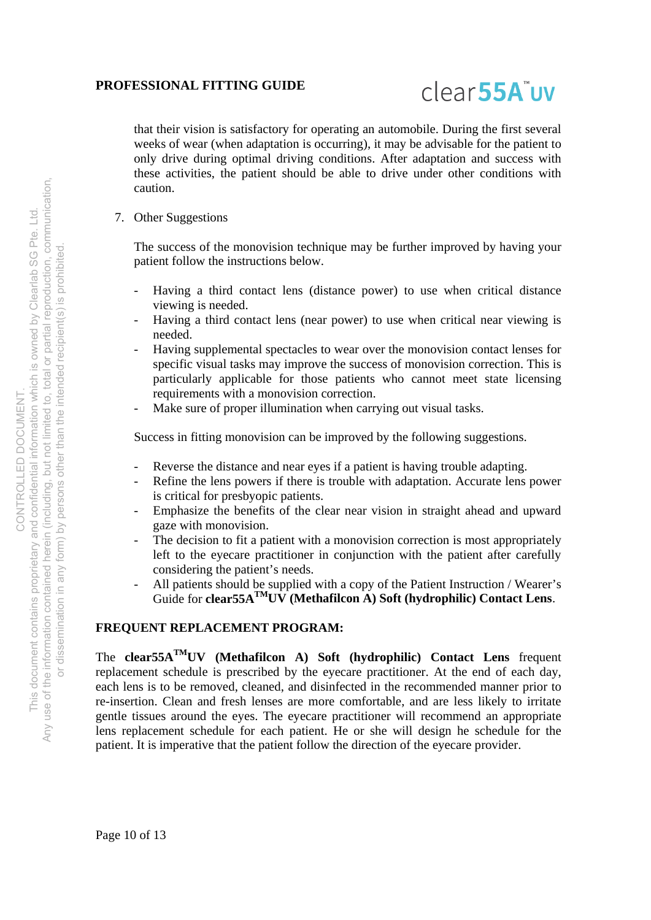

that their vision is satisfactory for operating an automobile. During the first several weeks of wear (when adaptation is occurring), it may be advisable for the patient to only drive during optimal driving conditions. After adaptation and success with these activities, the patient should be able to drive under other conditions with caution.

7. Other Suggestions

The success of the monovision technique may be further improved by having your patient follow the instructions below.

- Having a third contact lens (distance power) to use when critical distance viewing is needed.
- Having a third contact lens (near power) to use when critical near viewing is needed.
- Having supplemental spectacles to wear over the monovision contact lenses for specific visual tasks may improve the success of monovision correction. This is particularly applicable for those patients who cannot meet state licensing requirements with a monovision correction.
- Make sure of proper illumination when carrying out visual tasks.

Success in fitting monovision can be improved by the following suggestions.

- Reverse the distance and near eyes if a patient is having trouble adapting.
- Refine the lens powers if there is trouble with adaptation. Accurate lens power is critical for presbyopic patients.
- Emphasize the benefits of the clear near vision in straight ahead and upward gaze with monovision.
- The decision to fit a patient with a monovision correction is most appropriately left to the eyecare practitioner in conjunction with the patient after carefully considering the patient's needs.
- All patients should be supplied with a copy of the Patient Instruction / Wearer's Guide for **clear55ATMUV (Methafilcon A) Soft (hydrophilic) Contact Lens**.

#### **FREQUENT REPLACEMENT PROGRAM:**

The **clear55ATMUV (Methafilcon A) Soft (hydrophilic) Contact Lens** frequent replacement schedule is prescribed by the eyecare practitioner. At the end of each day, each lens is to be removed, cleaned, and disinfected in the recommended manner prior to re-insertion. Clean and fresh lenses are more comfortable, and are less likely to irritate gentle tissues around the eyes. The eyecare practitioner will recommend an appropriate lens replacement schedule for each patient. He or she will design he schedule for the patient. It is imperative that the patient follow the direction of the eyecare provider.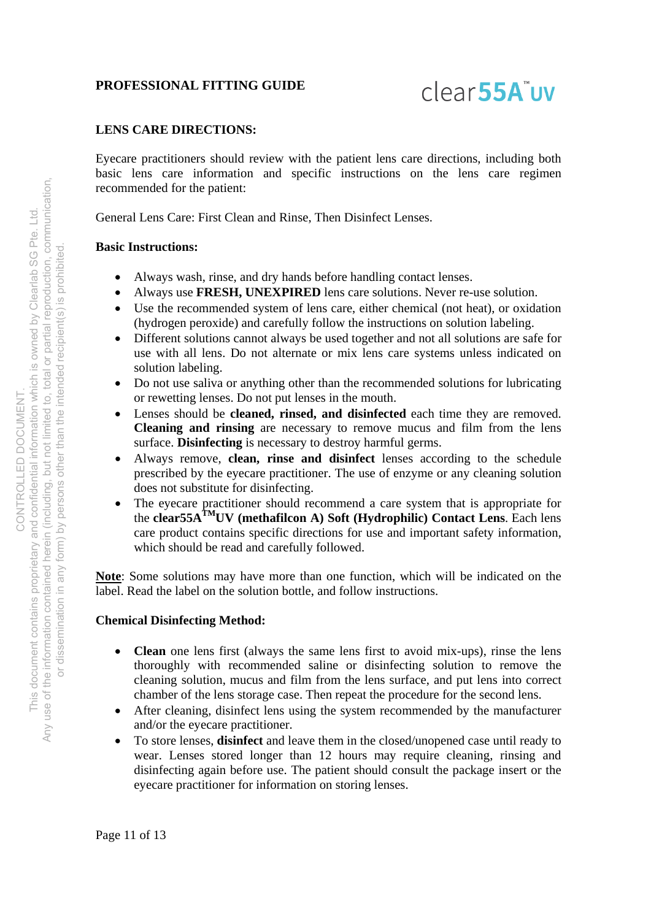

#### **LENS CARE DIRECTIONS:**

Eyecare practitioners should review with the patient lens care directions, including both basic lens care information and specific instructions on the lens care regimen recommended for the patient:

General Lens Care: First Clean and Rinse, Then Disinfect Lenses.

#### **Basic Instructions:**

- Always wash, rinse, and dry hands before handling contact lenses.
- Always use **FRESH, UNEXPIRED** lens care solutions. Never re-use solution.
- Use the recommended system of lens care, either chemical (not heat), or oxidation (hydrogen peroxide) and carefully follow the instructions on solution labeling.
- Different solutions cannot always be used together and not all solutions are safe for use with all lens. Do not alternate or mix lens care systems unless indicated on solution labeling.
- Do not use saliva or anything other than the recommended solutions for lubricating or rewetting lenses. Do not put lenses in the mouth.
- Lenses should be **cleaned, rinsed, and disinfected** each time they are removed. **Cleaning and rinsing** are necessary to remove mucus and film from the lens surface. **Disinfecting** is necessary to destroy harmful germs.
- Always remove, **clean, rinse and disinfect** lenses according to the schedule prescribed by the eyecare practitioner. The use of enzyme or any cleaning solution does not substitute for disinfecting.
- The eyecare practitioner should recommend a care system that is appropriate for the **clear55ATMUV (methafilcon A) Soft (Hydrophilic) Contact Lens**. Each lens care product contains specific directions for use and important safety information, which should be read and carefully followed.

**Note**: Some solutions may have more than one function, which will be indicated on the label. Read the label on the solution bottle, and follow instructions.

#### **Chemical Disinfecting Method:**

- **Clean** one lens first (always the same lens first to avoid mix-ups), rinse the lens thoroughly with recommended saline or disinfecting solution to remove the cleaning solution, mucus and film from the lens surface, and put lens into correct chamber of the lens storage case. Then repeat the procedure for the second lens.
- After cleaning, disinfect lens using the system recommended by the manufacturer and/or the eyecare practitioner.
- To store lenses, **disinfect** and leave them in the closed/unopened case until ready to wear. Lenses stored longer than 12 hours may require cleaning, rinsing and disinfecting again before use. The patient should consult the package insert or the eyecare practitioner for information on storing lenses.

Page 11 of 13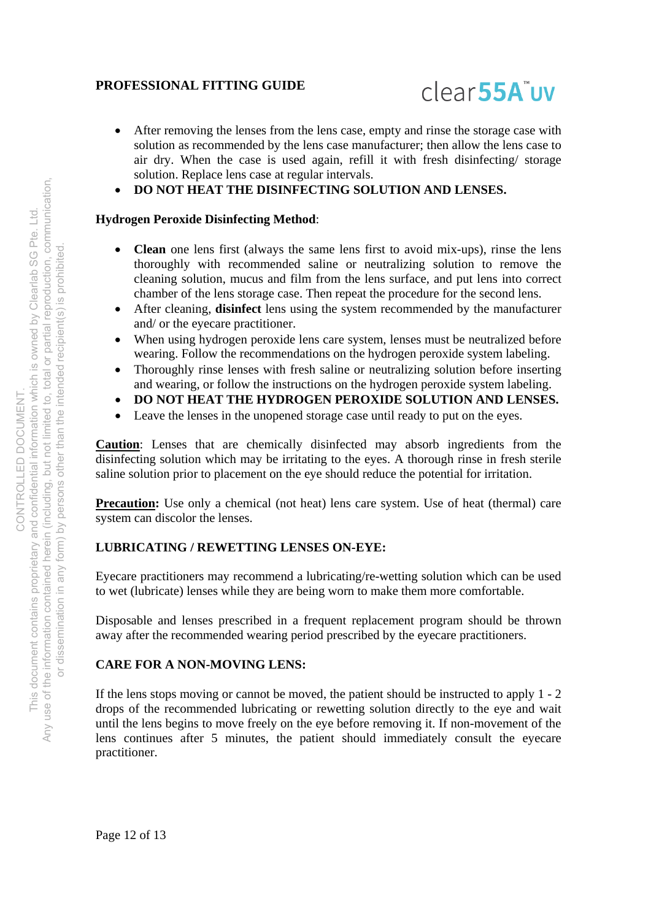

- After removing the lenses from the lens case, empty and rinse the storage case with solution as recommended by the lens case manufacturer; then allow the lens case to air dry. When the case is used again, refill it with fresh disinfecting/ storage solution. Replace lens case at regular intervals.
- **DO NOT HEAT THE DISINFECTING SOLUTION AND LENSES.**

#### **Hydrogen Peroxide Disinfecting Method**:

- **Clean** one lens first (always the same lens first to avoid mix-ups), rinse the lens thoroughly with recommended saline or neutralizing solution to remove the cleaning solution, mucus and film from the lens surface, and put lens into correct chamber of the lens storage case. Then repeat the procedure for the second lens.
- After cleaning, **disinfect** lens using the system recommended by the manufacturer and/ or the eyecare practitioner.
- When using hydrogen peroxide lens care system, lenses must be neutralized before wearing. Follow the recommendations on the hydrogen peroxide system labeling.
- Thoroughly rinse lenses with fresh saline or neutralizing solution before inserting and wearing, or follow the instructions on the hydrogen peroxide system labeling.
- **DO NOT HEAT THE HYDROGEN PEROXIDE SOLUTION AND LENSES.**
- Leave the lenses in the unopened storage case until ready to put on the eyes.

**Caution**: Lenses that are chemically disinfected may absorb ingredients from the disinfecting solution which may be irritating to the eyes. A thorough rinse in fresh sterile saline solution prior to placement on the eye should reduce the potential for irritation.

**Precaution:** Use only a chemical (not heat) lens care system. Use of heat (thermal) care system can discolor the lenses.

#### **LUBRICATING / REWETTING LENSES ON-EYE:**

Eyecare practitioners may recommend a lubricating/re-wetting solution which can be used to wet (lubricate) lenses while they are being worn to make them more comfortable.

Disposable and lenses prescribed in a frequent replacement program should be thrown away after the recommended wearing period prescribed by the eyecare practitioners.

#### **CARE FOR A NON-MOVING LENS:**

If the lens stops moving or cannot be moved, the patient should be instructed to apply 1 - 2 drops of the recommended lubricating or rewetting solution directly to the eye and wait until the lens begins to move freely on the eye before removing it. If non-movement of the lens continues after 5 minutes, the patient should immediately consult the eyecare practitioner.

Page 12 of 13